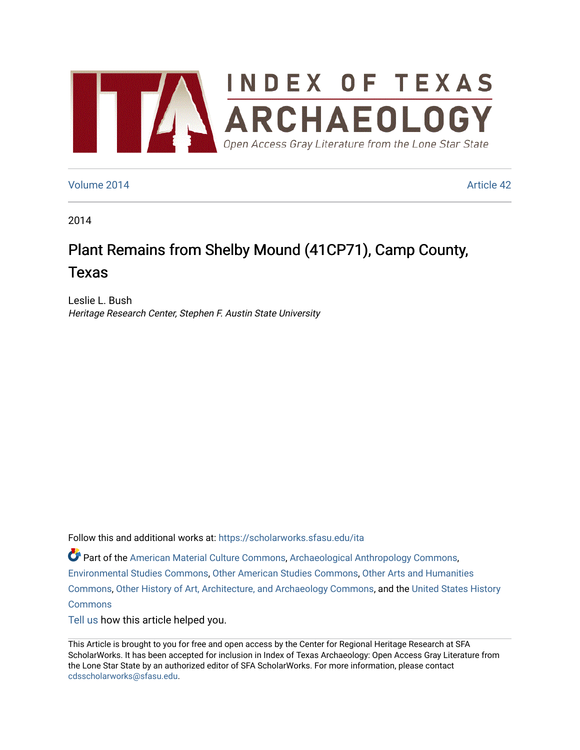

### [Volume 2014](https://scholarworks.sfasu.edu/ita/vol2014) [Article 42](https://scholarworks.sfasu.edu/ita/vol2014/iss1/42)

2014

# Plant Remains from Shelby Mound (41CP71), Camp County, Texas

Leslie L. Bush Heritage Research Center, Stephen F. Austin State University

Follow this and additional works at: [https://scholarworks.sfasu.edu/ita](https://scholarworks.sfasu.edu/ita?utm_source=scholarworks.sfasu.edu%2Fita%2Fvol2014%2Fiss1%2F42&utm_medium=PDF&utm_campaign=PDFCoverPages) 

Part of the [American Material Culture Commons,](http://network.bepress.com/hgg/discipline/442?utm_source=scholarworks.sfasu.edu%2Fita%2Fvol2014%2Fiss1%2F42&utm_medium=PDF&utm_campaign=PDFCoverPages) [Archaeological Anthropology Commons,](http://network.bepress.com/hgg/discipline/319?utm_source=scholarworks.sfasu.edu%2Fita%2Fvol2014%2Fiss1%2F42&utm_medium=PDF&utm_campaign=PDFCoverPages) [Environmental Studies Commons,](http://network.bepress.com/hgg/discipline/1333?utm_source=scholarworks.sfasu.edu%2Fita%2Fvol2014%2Fiss1%2F42&utm_medium=PDF&utm_campaign=PDFCoverPages) [Other American Studies Commons](http://network.bepress.com/hgg/discipline/445?utm_source=scholarworks.sfasu.edu%2Fita%2Fvol2014%2Fiss1%2F42&utm_medium=PDF&utm_campaign=PDFCoverPages), [Other Arts and Humanities](http://network.bepress.com/hgg/discipline/577?utm_source=scholarworks.sfasu.edu%2Fita%2Fvol2014%2Fiss1%2F42&utm_medium=PDF&utm_campaign=PDFCoverPages) [Commons](http://network.bepress.com/hgg/discipline/577?utm_source=scholarworks.sfasu.edu%2Fita%2Fvol2014%2Fiss1%2F42&utm_medium=PDF&utm_campaign=PDFCoverPages), [Other History of Art, Architecture, and Archaeology Commons,](http://network.bepress.com/hgg/discipline/517?utm_source=scholarworks.sfasu.edu%2Fita%2Fvol2014%2Fiss1%2F42&utm_medium=PDF&utm_campaign=PDFCoverPages) and the [United States History](http://network.bepress.com/hgg/discipline/495?utm_source=scholarworks.sfasu.edu%2Fita%2Fvol2014%2Fiss1%2F42&utm_medium=PDF&utm_campaign=PDFCoverPages)  **[Commons](http://network.bepress.com/hgg/discipline/495?utm_source=scholarworks.sfasu.edu%2Fita%2Fvol2014%2Fiss1%2F42&utm_medium=PDF&utm_campaign=PDFCoverPages)** 

[Tell us](http://sfasu.qualtrics.com/SE/?SID=SV_0qS6tdXftDLradv) how this article helped you.

This Article is brought to you for free and open access by the Center for Regional Heritage Research at SFA ScholarWorks. It has been accepted for inclusion in Index of Texas Archaeology: Open Access Gray Literature from the Lone Star State by an authorized editor of SFA ScholarWorks. For more information, please contact [cdsscholarworks@sfasu.edu.](mailto:cdsscholarworks@sfasu.edu)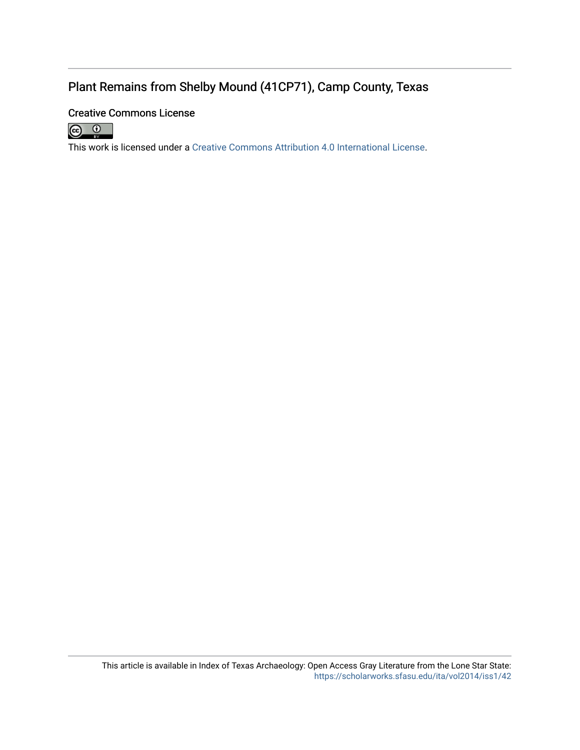# Plant Remains from Shelby Mound (41CP71), Camp County, Texas

## Creative Commons License



This work is licensed under a [Creative Commons Attribution 4.0 International License.](https://creativecommons.org/licenses/by/4.0/)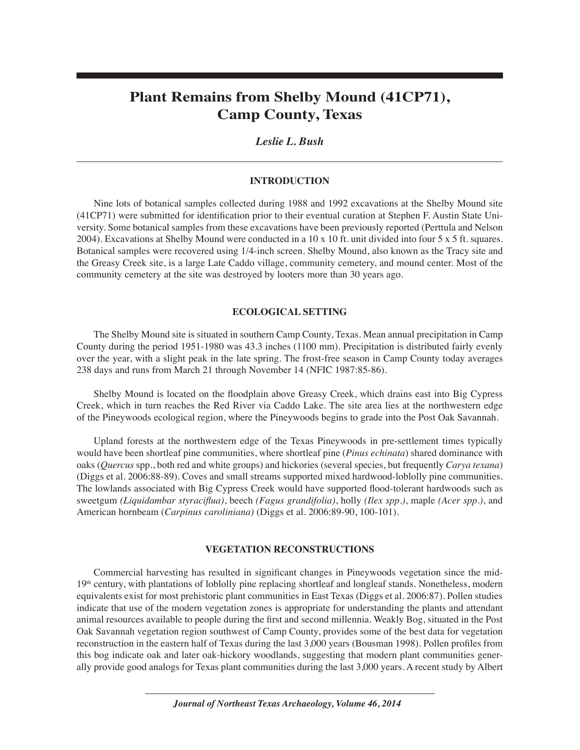# **Plant Remains from Shelby Mound (41CP71), Camp County, Texas**

### *Leslie L. Bush*

#### **INTRODUCTION**

Nine lots of botanical samples collected during 1988 and 1992 excavations at the Shelby Mound site  $(41CP71)$  were submitted for identification prior to their eventual curation at Stephen F. Austin State University. Some botanical samples from these excavations have been previously reported (Perttula and Nelson 2004). Excavations at Shelby Mound were conducted in a 10 x 10 ft. unit divided into four 5 x 5 ft. squares. Botanical samples were recovered using 1/4-inch screen. Shelby Mound, also known as the Tracy site and the Greasy Creek site, is a large Late Caddo village, community cemetery, and mound center. Most of the community cemetery at the site was destroyed by looters more than 30 years ago.

#### **ECOLOGICAL SETTING**

The Shelby Mound site is situated in southern Camp County, Texas. Mean annual precipitation in Camp County during the period 1951-1980 was 43.3 inches (1100 mm). Precipitation is distributed fairly evenly over the year, with a slight peak in the late spring. The frost-free season in Camp County today averages 238 days and runs from March 21 through November 14 (NFIC 1987:85-86).

Shelby Mound is located on the Áoodplain above Greasy Creek, which drains east into Big Cypress Creek, which in turn reaches the Red River via Caddo Lake. The site area lies at the northwestern edge of the Pineywoods ecological region, where the Pineywoods begins to grade into the Post Oak Savannah.

Upland forests at the northwestern edge of the Texas Pineywoods in pre-settlement times typically would have been shortleaf pine communities, where shortleaf pine (*Pinus echinata*) shared dominance with oaks (*Quercus* spp., both red and white groups) and hickories (several species, but frequently *Carya texana*) (Diggs et al. 2006:88-89). Coves and small streams supported mixed hardwood-loblolly pine communities. The lowlands associated with Big Cypress Creek would have supported flood-tolerant hardwoods such as sweetgum *(Liquidambar styraciflua)*, beech *(Fagus grandifolia)*, holly *(Ilex spp.)*, maple *(Acer spp.)*, and American hornbeam (*Carpinus caroliniana)* (Diggs et al. 2006:89-90, 100-101).

#### **VEGETATION RECONSTRUCTIONS**

Commercial harvesting has resulted in significant changes in Pineywoods vegetation since the mid-19<sup>th</sup> century, with plantations of loblolly pine replacing shortleaf and longleaf stands. Nonetheless, modern equivalents exist for most prehistoric plant communities in East Texas (Diggs et al. 2006:87). Pollen studies indicate that use of the modern vegetation zones is appropriate for understanding the plants and attendant animal resources available to people during the first and second millennia. Weakly Bog, situated in the Post Oak Savannah vegetation region southwest of Camp County, provides some of the best data for vegetation reconstruction in the eastern half of Texas during the last 3,000 years (Bousman 1998). Pollen profiles from this bog indicate oak and later oak-hickory woodlands, suggesting that modern plant communities generally provide good analogs for Texas plant communities during the last 3,000 years. A recent study by Albert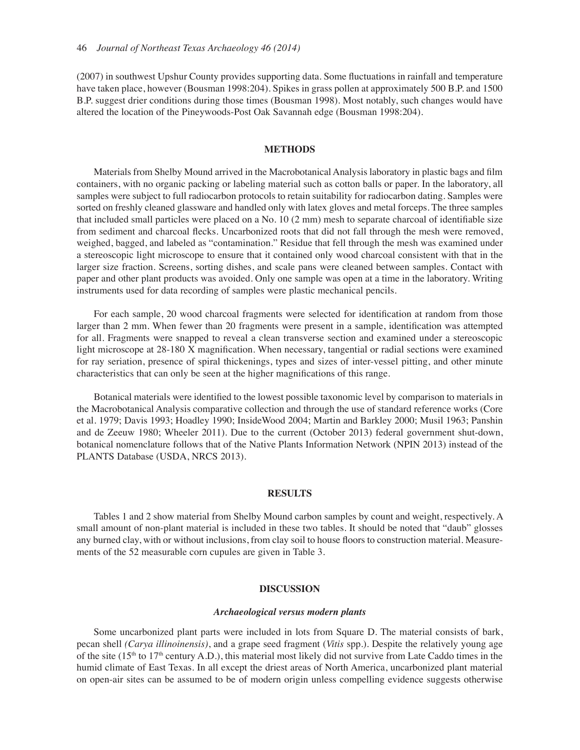(2007) in southwest Upshur County provides supporting data. Some fluctuations in rainfall and temperature have taken place, however (Bousman 1998:204). Spikes in grass pollen at approximately 500 B.P. and 1500 B.P. suggest drier conditions during those times (Bousman 1998). Most notably, such changes would have altered the location of the Pineywoods-Post Oak Savannah edge (Bousman 1998:204).

#### **METHODS**

Materials from Shelby Mound arrived in the Macrobotanical Analysis laboratory in plastic bags and film containers, with no organic packing or labeling material such as cotton balls or paper. In the laboratory, all samples were subject to full radiocarbon protocols to retain suitability for radiocarbon dating. Samples were sorted on freshly cleaned glassware and handled only with latex gloves and metal forceps. The three samples that included small particles were placed on a No. 10 (2 mm) mesh to separate charcoal of identifiable size from sediment and charcoal flecks. Uncarbonized roots that did not fall through the mesh were removed, weighed, bagged, and labeled as "contamination." Residue that fell through the mesh was examined under a stereoscopic light microscope to ensure that it contained only wood charcoal consistent with that in the larger size fraction. Screens, sorting dishes, and scale pans were cleaned between samples. Contact with paper and other plant products was avoided. Only one sample was open at a time in the laboratory. Writing instruments used for data recording of samples were plastic mechanical pencils.

For each sample, 20 wood charcoal fragments were selected for identification at random from those larger than 2 mm. When fewer than 20 fragments were present in a sample, identification was attempted for all. Fragments were snapped to reveal a clean transverse section and examined under a stereoscopic light microscope at  $28-180$  X magnification. When necessary, tangential or radial sections were examined for ray seriation, presence of spiral thickenings, types and sizes of inter-vessel pitting, and other minute characteristics that can only be seen at the higher magnifications of this range.

Botanical materials were identified to the lowest possible taxonomic level by comparison to materials in the Macrobotanical Analysis comparative collection and through the use of standard reference works (Core et al. 1979; Davis 1993; Hoadley 1990; InsideWood 2004; Martin and Barkley 2000; Musil 1963; Panshin and de Zeeuw 1980; Wheeler 2011). Due to the current (October 2013) federal government shut-down, botanical nomenclature follows that of the Native Plants Information Network (NPIN 2013) instead of the PLANTS Database (USDA, NRCS 2013).

#### **RESULTS**

Tables 1 and 2 show material from Shelby Mound carbon samples by count and weight, respectively. A small amount of non-plant material is included in these two tables. It should be noted that "daub" glosses any burned clay, with or without inclusions, from clay soil to house floors to construction material. Measurements of the 52 measurable corn cupules are given in Table 3.

#### **DISCUSSION**

#### *Archaeological versus modern plants*

Some uncarbonized plant parts were included in lots from Square D. The material consists of bark, pecan shell *(Carya illinoinensis)*, and a grape seed fragment (*Vitis* spp.). Despite the relatively young age of the site (15<sup>th</sup> to 17<sup>th</sup> century A.D.), this material most likely did not survive from Late Caddo times in the humid climate of East Texas. In all except the driest areas of North America, uncarbonized plant material on open-air sites can be assumed to be of modern origin unless compelling evidence suggests otherwise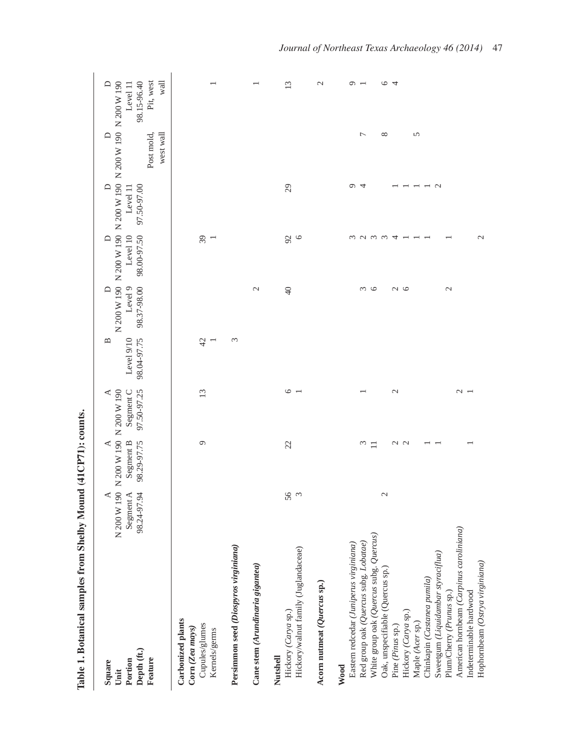| Depth (ft.)<br>Feature<br>Portion<br>Square<br>Unit                                                                                                                                                                                                                                                                                                                                                                                                      | ≺<br>N 200 W 190<br>Segment A<br>98.24-97.94 | N 200 W 190 N 200 W 190<br>Segment B<br>98.29-97.75<br>≺ | Segment C<br>97.50-97.25<br>$\triangleleft$ | 98.04-97.75<br>Level 9/10<br>≃ | 98.37-98.00<br>Level 9                              | 98.00-97.50<br>Level 10                                            | 97.50-97.00<br>Level 11<br>$\Box$ | N 200 W 190 N 200 W 190 N 200 W 190 N 200 W 190 N 200 W 190<br>west wall<br>$\triangleright$<br>Post mold, | Pit, west<br>wall<br>98.15-96.40<br>$\Box$<br>Level 11           |
|----------------------------------------------------------------------------------------------------------------------------------------------------------------------------------------------------------------------------------------------------------------------------------------------------------------------------------------------------------------------------------------------------------------------------------------------------------|----------------------------------------------|----------------------------------------------------------|---------------------------------------------|--------------------------------|-----------------------------------------------------|--------------------------------------------------------------------|-----------------------------------|------------------------------------------------------------------------------------------------------------|------------------------------------------------------------------|
| Carbonized plants<br>Cupules/glumes<br>Corn (Zea mays)<br>Kernels/germs                                                                                                                                                                                                                                                                                                                                                                                  |                                              | $\circ$                                                  | 13                                          | 42                             |                                                     | $\sqrt{3}$<br>$\overline{\phantom{0}}$                             |                                   |                                                                                                            |                                                                  |
| Persimmon seed (Diospyros virginiana)                                                                                                                                                                                                                                                                                                                                                                                                                    |                                              |                                                          |                                             | 3                              |                                                     |                                                                    |                                   |                                                                                                            |                                                                  |
| Cane stem (Arundinaria gigantea)                                                                                                                                                                                                                                                                                                                                                                                                                         |                                              |                                                          |                                             |                                | $\mathcal{L}$                                       |                                                                    |                                   |                                                                                                            |                                                                  |
| Hickory/walnut family (Juglandaceae)<br>Hickory (Carya sp.)<br>Nutshell                                                                                                                                                                                                                                                                                                                                                                                  | 56<br>$\omega$                               | 22                                                       | $\circ$                                     |                                | $\Theta$                                            | $\mathcal{S}6$<br>$\circ$                                          | 29                                |                                                                                                            | 13                                                               |
| Acorn nutmeat (Quercus sp.)                                                                                                                                                                                                                                                                                                                                                                                                                              |                                              |                                                          |                                             |                                |                                                     |                                                                    |                                   |                                                                                                            | $\mathcal{L}$                                                    |
| American hornbeam (Carpinus caroliniana)<br>White group oak (Quercus subg. Quercus)<br>Red group oak (Quercus subg. Lobatae)<br>Eastern redcedar (Juniperus virginiana)<br>Sweetgum (Liquidambar styraciflua)<br>Hophornbeam (Ostrya virginiana)<br>Oak, unspecifiable (Quercus sp.)<br>Chinkapin (Castanea pumila)<br>Indeterminable hardwood<br>Plum/Cherry (Prunus sp.)<br>Hickory (Carya sp.)<br>Maple (Acer sp.)<br>Pine (Pinus sp.)<br><b>Wood</b> | $\mathfrak{g}$                               | $\omega$<br>U U<br>$\Box$                                | $\mathcal{L}$<br>$\sim$ $-$                 |                                | $\sim$<br>$\circ$<br>$\sim$ $\sim$<br>$\mathcal{L}$ | $\epsilon$<br>$\omega$ $\omega$<br>$\mathcal{L}$<br>$\overline{4}$ | $\circ$<br>4<br>$\sim$            | 5<br>Γ<br>${}^{\circ}$                                                                                     | $\circ$<br>$\circ$<br>$\overline{4}$<br>$\overline{\phantom{0}}$ |

Table 1. Botanical samples from Shelby Mound (41CP71): counts. **Table 1. Botanical samples from Shelby Mound (41CP71): counts.**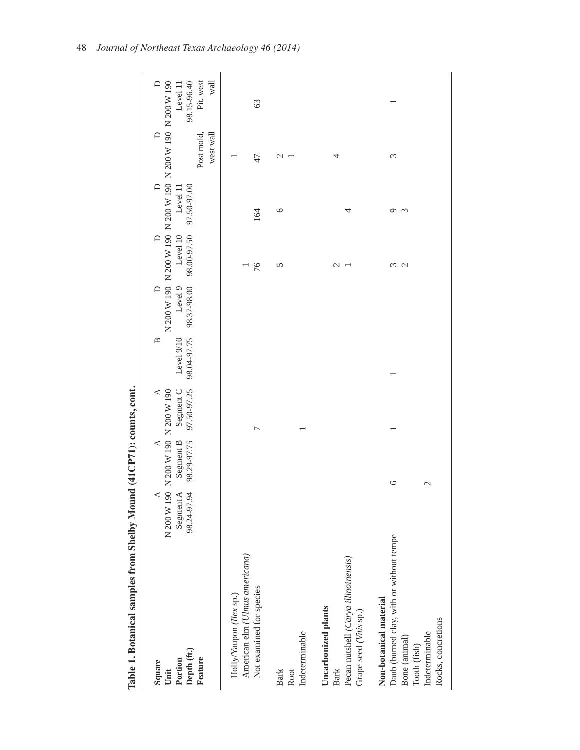| Table 1. Botanical samples from Shelby Mound (41CP71): counts, cont.                                                                        |                                                                                          |                              |                                             |                                                       |                      |                                                              |                       |                                                                                                     |                                              |
|---------------------------------------------------------------------------------------------------------------------------------------------|------------------------------------------------------------------------------------------|------------------------------|---------------------------------------------|-------------------------------------------------------|----------------------|--------------------------------------------------------------|-----------------------|-----------------------------------------------------------------------------------------------------|----------------------------------------------|
| Depth (ft.)<br>Feature<br>Portion<br>Square<br>Unit                                                                                         | N 200 W 190 N 200 W 190 N 200 W 190<br>Segment A Segment B Segment C<br>98.24-97.94<br>⋖ | 98.29-97.75<br>$\mathcal{A}$ | Segment C<br>97.50-97.25<br>$\triangleleft$ | 98.04-97.75<br>Level 9/10<br>$\mathbf{\underline{m}}$ | Level 9<br>$\bigcap$ | 98.37-98.00 98.00-97.50 97.50-97.00<br>Level 10<br>$\bigcap$ | $\bigcap$<br>Level 11 | N 200 W 190 N 200 W 190 N 200 W 190 N 200 W 190 N 200 W 190<br>west wall<br>$\bigcap$<br>Post mold, | wall<br>Pit, west<br>98.15-96.40<br>Level 11 |
| American elm (Ulmus americana)<br>Not examined for species<br>Holly/Yaupon (Ilex sp.)                                                       |                                                                                          |                              | ┌                                           |                                                       |                      | 76                                                           | 164                   | 47                                                                                                  | 63                                           |
| Indeterminable<br><b>Bark</b><br>Root                                                                                                       |                                                                                          |                              |                                             |                                                       |                      | 5                                                            | $\circ$               | $\mathcal{L}$                                                                                       |                                              |
| Pecan nutshell (Carya illinoinensis)<br>Uncarbonized plants<br>Grape seed (Vitis sp.)<br>Bark                                               |                                                                                          |                              |                                             |                                                       |                      | $\mathcal{C}$                                                | 4                     | 4                                                                                                   |                                              |
| Daub (burned clay, with or without tempe<br>Non-botanical material<br>Rocks, concretions<br>Indeterminable<br>Bone (animal)<br>Tooth (fish) |                                                                                          | $\circ$<br>$\mathcal{L}$     |                                             |                                                       |                      | ξ<br>$\mathbf{C}$                                            | Q<br>$\mathfrak{c}$   | 3                                                                                                   |                                              |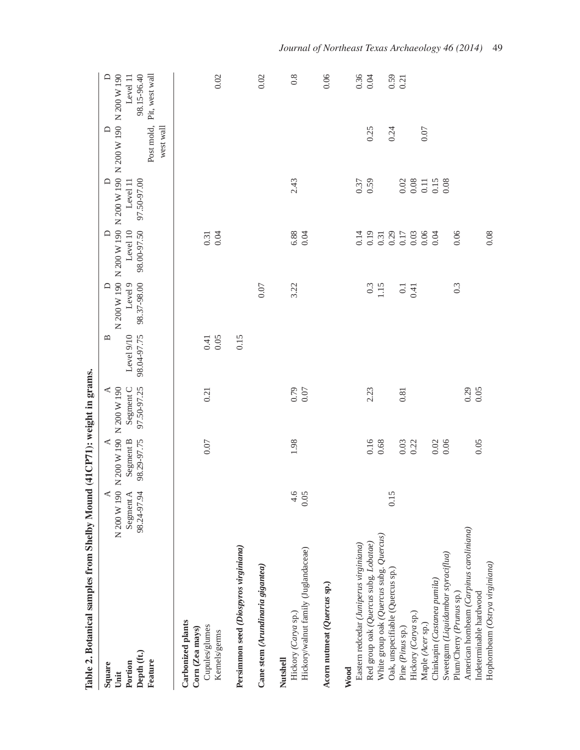| Table 2. Botanical samples from Shelby Mound (41CP71): weight in grams.                  |                          |                              |                          |                           |                          |                         |                          |                                                                  |                                           |
|------------------------------------------------------------------------------------------|--------------------------|------------------------------|--------------------------|---------------------------|--------------------------|-------------------------|--------------------------|------------------------------------------------------------------|-------------------------------------------|
| Square<br>Unit                                                                           | N 200 W 190<br>⋖         | N 200 W 190 N 200 W 190<br>⋖ | ⋖                        | ≃                         | ≏                        | $\Box$                  | ≏                        | N 200 W 190 N 200 W 190 N 200 W 190 N 200 W 190 N 200 W 190<br>≏ | $\Box$                                    |
| Depth (ft.)<br>Feature<br>Portion                                                        | Segment A<br>98.24-97.94 | 98.29-97.75<br>Segment B     | 97.50-97.25<br>Segment C | Level 9/10<br>98.04-97.75 | 98.37-98.00<br>Level 9   | 98.00-97.50<br>Level 10 | 97.50-97.00<br>Level 11  | Post mold,<br>west wall                                          | Pit, west wall<br>98.15-96.40<br>Level 11 |
| Carbonized plants<br>Cupules/glumes<br>Corn (Zea mays)<br>Kernels/germs                  |                          | 0.07                         | 0.21                     | 0.05<br>0.41              |                          | $0.31$<br>$0.04$        |                          |                                                                  | 0.02                                      |
| Persimmon seed (Diospyros virginiana)                                                    |                          |                              |                          | 0.15                      |                          |                         |                          |                                                                  |                                           |
| Cane stem (Arundinaria gigantea)                                                         |                          |                              |                          |                           | 0.07                     |                         |                          |                                                                  | 0.02                                      |
| Hickory/walnut family (Juglandaceae)<br>Hickory (Carya sp.)<br>Nutshell                  | $-4.6$<br>0.05           | 1.98                         | 0.79<br>0.07             |                           | 3.22                     | 6.88<br>0.04            | 2.43                     |                                                                  | $0.\overline{8}$                          |
| Acorn nutmeat (Quercus sp.)                                                              |                          |                              |                          |                           |                          |                         |                          |                                                                  | 0.06                                      |
| Red group oak (Quercus subg. Lobatae)<br>Eastern redcedar (Juniperus virginiana)<br>Wood |                          | 0.16                         | 2.23                     |                           | 0.3                      | 0.19<br>0.14            | 0.37                     | 0.25                                                             | 0.36<br>0.04                              |
| White group oak (Quercus subg. Quercus)<br>Oak, unspecifiable (Quercus sp.)              | 0.15                     | 0.68                         |                          |                           | 1.15                     | $\frac{0.31}{0.29}$     |                          | 0.24                                                             | $0.59$<br>$0.21$                          |
| Hickory (Carya sp.)<br>Pine (Pinus sp.)                                                  |                          | 0.03<br>0.22                 | 0.81                     |                           | $\overline{0.1}$<br>0.41 | 0.03<br>0.17            | $0.08\,$<br>$0.02\,$     |                                                                  |                                           |
| Sweetgum (Liquidambar styraciflua)<br>Chinkapin (Castanea pumila)<br>Maple (Acer sp.)    |                          | 0.02<br>0.06                 |                          |                           |                          | 0.06<br>0.04            | 0.15<br>$0.11\,$<br>0.08 | 0.07                                                             |                                           |
| Plum/Cherry (Prunus sp.)                                                                 |                          |                              |                          |                           | 0.3                      | 0.06                    |                          |                                                                  |                                           |
| American hornbeam (Carpinus caroliniana)<br>Indeterminable hardwood                      |                          | 0.05                         | 0.29<br>0.05             |                           |                          |                         |                          |                                                                  |                                           |
| Hophornbeam (Ostrya virginiana)                                                          |                          |                              |                          |                           |                          | 0.08                    |                          |                                                                  |                                           |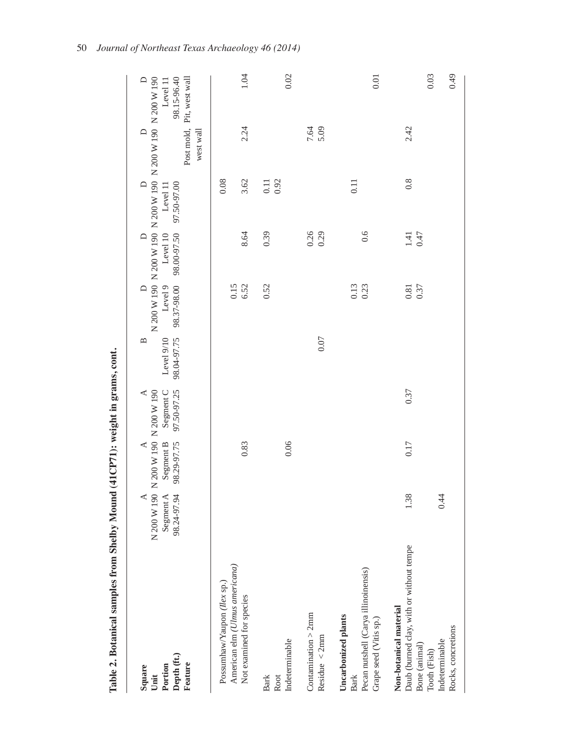| Table 2. Botanical samples from Shelby Mound (41CP71): weight in grams, cont.                                                                |                                                                 |                                             |                                     |                                |                                                                                                 |                                   |                                   |                     |                                                                |
|----------------------------------------------------------------------------------------------------------------------------------------------|-----------------------------------------------------------------|---------------------------------------------|-------------------------------------|--------------------------------|-------------------------------------------------------------------------------------------------|-----------------------------------|-----------------------------------|---------------------|----------------------------------------------------------------|
| Depth (ft.)<br>Feature<br>Portion<br>Square<br>Unit                                                                                          | N 200 W 190 N 200 W 190 N 200 W 190<br>Segment A<br>98.24-97.94 | Segment B<br>98.29-97.75<br>$\triangleleft$ | Segment C<br>97.50-97.25<br>$\prec$ | 98.04-97.75<br>Level 9/10<br>≃ | N 200 W 190 N 200 W 190 N 200 W 190 N 200 W 190 N 200 W 190<br>98.37-98.00<br>Level 9<br>$\Box$ | 98.00-97.50<br>Level 10<br>$\Box$ | 97.50-97.00<br>$\Box$<br>Level 11 | $\Box$<br>west wall | 98.15-96.40<br>Post mold, Pit, west wall<br>$\Box$<br>Level 11 |
| American elm (Ulmus americana)<br>Possumhaw/Yaupon (Ilex sp.)<br>Not examined for species                                                    |                                                                 | 0.83                                        |                                     |                                | 6.52<br>0.15                                                                                    | 8.64                              | 0.08<br>3.62                      | 2.24                | 1.04                                                           |
| Indeterminable<br><b>Bark</b><br>Root                                                                                                        |                                                                 | 0.06                                        |                                     |                                | 0.52                                                                                            | 0.39                              | 0.92<br>$0.11\,$                  |                     | 0.02                                                           |
| Continuation > 2mm<br>Residue $\langle$ 2mm                                                                                                  |                                                                 |                                             |                                     | 0.07                           |                                                                                                 | 0.26<br>0.29                      |                                   | 7.64<br>5.09        |                                                                |
| Pecan nutshell (Carya illinoinensis)<br>Uncarbonized plants<br>Grape seed (Vitis sp.)<br><b>Bark</b>                                         |                                                                 |                                             |                                     |                                | 0.13<br>0.23                                                                                    | 0.6                               | 0.11                              |                     | 0.01                                                           |
| Daub (burned clay, with or without temper<br>Non-botanical material<br>Rocks, concretions<br>Indeterminable<br>Bone (animal)<br>Tooth (Fish) | 1.38<br>0.44                                                    | 0.17                                        | 0.37                                |                                | $0.81\,$<br>0.37                                                                                | 0.47<br>1.41                      | 0.8                               | 2.42                | 0.03<br>64.0                                                   |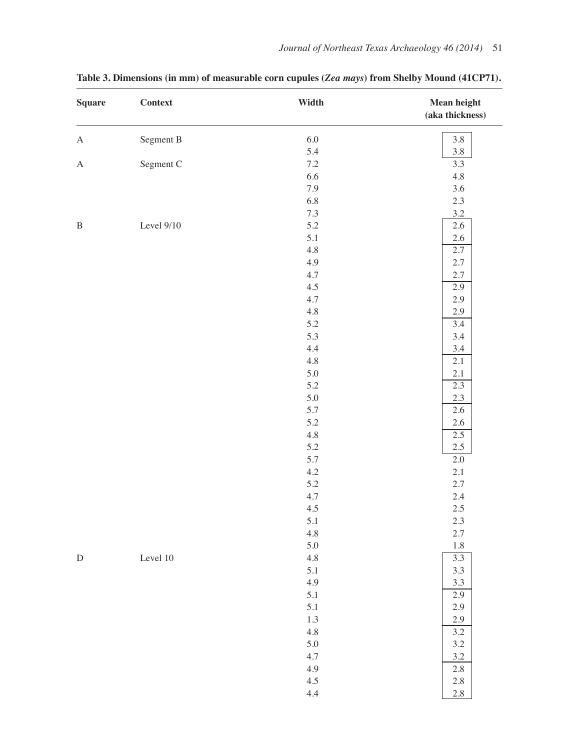| <b>Square</b>    | <b>Context</b> | Width   | <b>Mean height</b><br>(aka thickness) |
|------------------|----------------|---------|---------------------------------------|
| $\mathbf{A}$     | Segment B      | $6.0\,$ | $3.8\,$                               |
|                  |                | 5.4     | $3.8\,$                               |
| $\boldsymbol{A}$ | Segment C      | $7.2\,$ | 3.3                                   |
|                  |                | 6.6     | $4.8\,$                               |
|                  |                | 7.9     | $3.6\,$                               |
|                  |                | 6.8     | $2.3\,$                               |
|                  |                | $7.3\,$ | $3.2\,$                               |
| $\, {\bf B}$     | Level 9/10     | 5.2     | $2.6\,$                               |
|                  |                | $5.1\,$ | $2.6\,$                               |
|                  |                | $4.8\,$ | 2.7                                   |
|                  |                | 4.9     | $2.7\,$                               |
|                  |                | 4.7     | $2.7\,$                               |
|                  |                | 4.5     | 2.9                                   |
|                  |                | 4.7     | 2.9                                   |
|                  |                | 4.8     | 2.9                                   |
|                  |                | 5.2     | $\overline{3.4}$                      |
|                  |                | 5.3     | $3.4\,$                               |
|                  |                | $4.4\,$ | $3.4\,$                               |
|                  |                | 4.8     | 2.1                                   |
|                  |                | $5.0\,$ | 2.1                                   |
|                  |                | 5.2     | 2.3                                   |
|                  |                | $5.0\,$ | 2.3                                   |
|                  |                | 5.7     | $2.6\,$                               |
|                  |                | 5.2     | $2.6\,$                               |
|                  |                | 4.8     | 2.5                                   |
|                  |                | 5.2     | $2.5\,$                               |
|                  |                | 5.7     | $2.0\,$                               |
|                  |                | $4.2\,$ | 2.1                                   |
|                  |                | $5.2\,$ | $2.7\,$                               |
|                  |                | $4.7\,$ | $2.4\,$                               |
|                  |                | 4.5     | $2.5\,$                               |
|                  |                | 5.1     | 2.3                                   |
|                  |                | 4.8     | $2.7\,$                               |
|                  |                | $5.0\,$ | $1.8\,$                               |
| ${\rm D}$        | Level 10       | 4.8     | $\overline{3.3}$                      |
|                  |                | 5.1     | $3.3\,$                               |
|                  |                | 4.9     | $3.3\,$                               |
|                  |                | 5.1     | 2.9                                   |
|                  |                | 5.1     | 2.9                                   |
|                  |                | 1.3     | 2.9                                   |
|                  |                | 4.8     | $3.2\,$                               |
|                  |                | 5.0     | $3.2\,$                               |
|                  |                | 4.7     | 3.2                                   |
|                  |                | 4.9     |                                       |
|                  |                |         | $2.8\,$                               |
|                  |                | 4.5     | $2.8\,$                               |
|                  |                | $4.4\,$ | $2.8\,$                               |

**Table 3. Dimensions (in mm) of measurable corn cupules (***Zea mays***) from Shelby Mound (41CP71).**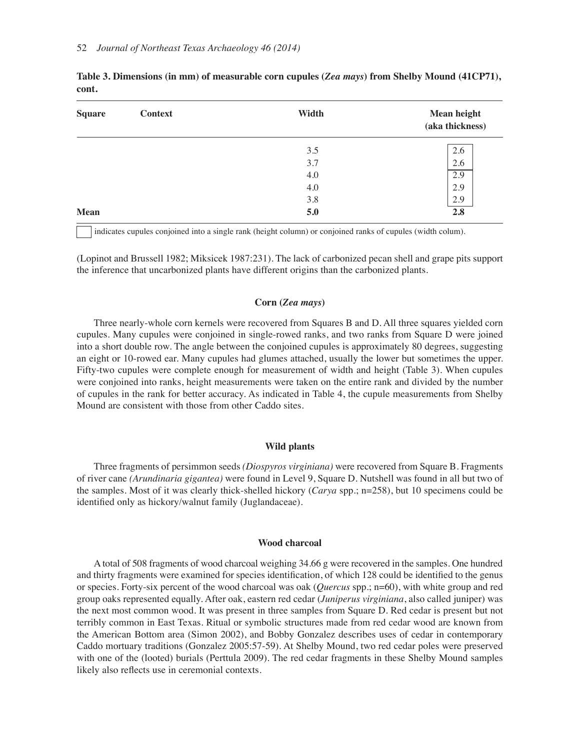| <b>Square</b> | <b>Context</b> | Width | <b>Mean height</b><br>(aka thickness) |
|---------------|----------------|-------|---------------------------------------|
|               |                | 3.5   | 2.6                                   |
|               |                | 3.7   | 2.6                                   |
|               |                | 4.0   | 2.9                                   |
|               |                | 4.0   | 2.9                                   |
|               |                | 3.8   | 2.9                                   |
| <b>Mean</b>   |                | 5.0   | 2.8                                   |

**Table 3. Dimensions (in mm) of measurable corn cupules (***Zea mays***) from Shelby Mound (41CP71), cont.**

indicates cupules conjoined into a single rank (height column) or conjoined ranks of cupules (width colum).

(Lopinot and Brussell 1982; Miksicek 1987:231). The lack of carbonized pecan shell and grape pits support the inference that uncarbonized plants have different origins than the carbonized plants.

#### **Corn (***Zea mays***)**

Three nearly-whole corn kernels were recovered from Squares B and D. All three squares yielded corn cupules. Many cupules were conjoined in single-rowed ranks, and two ranks from Square D were joined into a short double row. The angle between the conjoined cupules is approximately 80 degrees, suggesting an eight or 10-rowed ear. Many cupules had glumes attached, usually the lower but sometimes the upper. Fifty-two cupules were complete enough for measurement of width and height (Table 3). When cupules were conjoined into ranks, height measurements were taken on the entire rank and divided by the number of cupules in the rank for better accuracy. As indicated in Table 4, the cupule measurements from Shelby Mound are consistent with those from other Caddo sites.

#### **Wild plants**

Three fragments of persimmon seeds *(Diospyros virginiana)* were recovered from Square B. Fragments of river cane *(Arundinaria gigantea)* were found in Level 9, Square D. Nutshell was found in all but two of the samples. Most of it was clearly thick-shelled hickory (*Carya* spp.; n=258), but 10 specimens could be identified only as hickory/walnut family (Juglandaceae).

#### **Wood charcoal**

A total of 508 fragments of wood charcoal weighing 34.66 g were recovered in the samples. One hundred and thirty fragments were examined for species identification, of which 128 could be identified to the genus or species. Forty-six percent of the wood charcoal was oak (*Quercus* spp.; n=60), with white group and red group oaks represented equally. After oak, eastern red cedar (*Juniperus virginiana*, also called juniper) was the next most common wood. It was present in three samples from Square D. Red cedar is present but not terribly common in East Texas. Ritual or symbolic structures made from red cedar wood are known from the American Bottom area (Simon 2002), and Bobby Gonzalez describes uses of cedar in contemporary Caddo mortuary traditions (Gonzalez 2005:57-59). At Shelby Mound, two red cedar poles were preserved with one of the (looted) burials (Perttula 2009). The red cedar fragments in these Shelby Mound samples likely also reflects use in ceremonial contexts.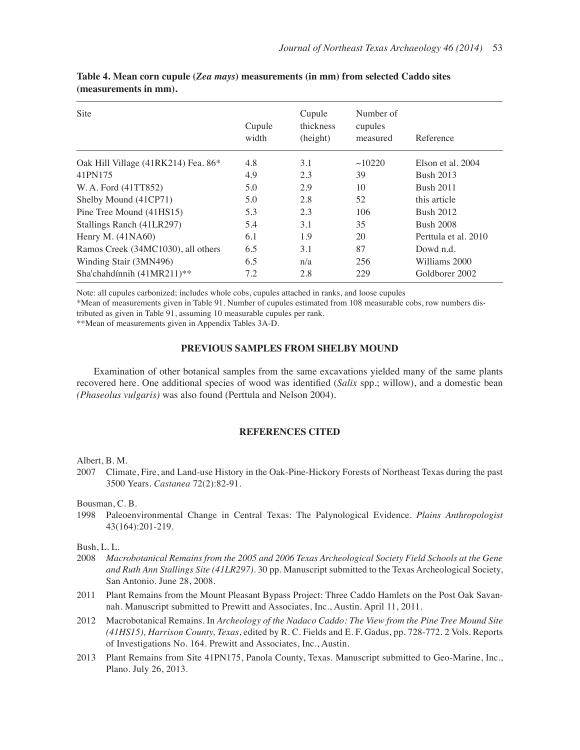| Site                                | Cupule<br>width | Cupule<br>thickness<br>(height) | Number of<br>cupules<br>measured | Reference            |
|-------------------------------------|-----------------|---------------------------------|----------------------------------|----------------------|
| Oak Hill Village (41RK214) Fea. 86* | 4.8             | 3.1                             | ~10220                           | Elson et al. 2004    |
| 41PN175                             | 4.9             | 2.3                             | 39                               | <b>Bush 2013</b>     |
| W. A. Ford (41TT852)                | 5.0             | 2.9                             | 10                               | <b>Bush 2011</b>     |
| Shelby Mound (41CP71)               | 5.0             | 2.8                             | 52                               | this article         |
| Pine Tree Mound (41HS15)            | 5.3             | 2.3                             | 106                              | <b>Bush 2012</b>     |
| Stallings Ranch (41LR297)           | 5.4             | 3.1                             | 35                               | <b>Bush 2008</b>     |
| Henry M. (41NA60)                   | 6.1             | 1.9                             | 20                               | Perttula et al. 2010 |
| Ramos Creek (34MC1030), all others  | 6.5             | 3.1                             | 87                               | Dowd n.d.            |
| Winding Stair (3MN496)              | 6.5             | n/a                             | 256                              | Williams 2000        |
| Sha'chahdínnih (41MR211)**          | 7.2             | 2.8                             | 229                              | Goldborer 2002       |

**Table 4. Mean corn cupule (***Zea mays***) measurements (in mm) from selected Caddo sites (measurements in mm).**

Note: all cupules carbonized; includes whole cobs, cupules attached in ranks, and loose cupules

\*Mean of measurements given in Table 91. Number of cupules estimated from 108 measurable cobs, row numbers distributed as given in Table 91, assuming 10 measurable cupules per rank.

\*\*Mean of measurements given in Appendix Tables 3A-D.

#### **PREVIOUS SAMPLES FROM SHELBY MOUND**

Examination of other botanical samples from the same excavations yielded many of the same plants recovered here. One additional species of wood was identified (*Salix* spp.; willow), and a domestic bean *(Phaseolus vulgaris)* was also found (Perttula and Nelson 2004).

#### **REFERENCES CITED**

Albert, B. M.

2007 Climate, Fire, and Land-use History in the Oak-Pine-Hickory Forests of Northeast Texas during the past 3500 Years. *Castanea* 72(2):82-91.

Bousman, C. B.

1998 Paleoenvironmental Change in Central Texas: The Palynological Evidence. *Plains Anthropologist* 43(164):201-219.

Bush, L. L.

- 2008 *Macrobotanical Remains from the 2005 and 2006 Texas Archeological Society Field Schools at the Gene and Ruth Ann Stallings Site (41LR297)*. 30 pp. Manuscript submitted to the Texas Archeological Society, San Antonio. June 28, 2008.
- 2011 Plant Remains from the Mount Pleasant Bypass Project: Three Caddo Hamlets on the Post Oak Savannah. Manuscript submitted to Prewitt and Associates, Inc., Austin. April 11, 2011.
- 2012 Macrobotanical Remains. In *Archeology of the Nadaco Caddo: The View from the Pine Tree Mound Site (41HS15), Harrison County, Texas*, edited by R. C. Fields and E. F. Gadus, pp. 728-772. 2 Vols. Reports of Investigations No. 164. Prewitt and Associates, Inc., Austin.
- 2013 Plant Remains from Site 41PN175, Panola County, Texas. Manuscript submitted to Geo-Marine, Inc., Plano. July 26, 2013.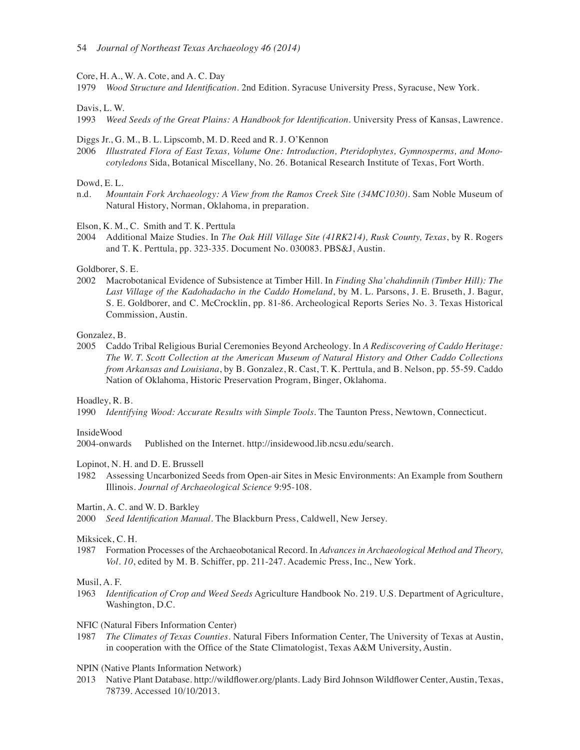Core, H. A., W. A. Cote, and A. C. Day

1979 *Wood Structure and Identification*. 2nd Edition. Syracuse University Press, Syracuse, New York.

Davis, L. W.

1993 *Weed Seeds of the Great Plains: A Handbook for Identification. University Press of Kansas, Lawrence.* 

#### Diggs Jr., G. M., B. L. Lipscomb, M. D. Reed and R. J. O'Kennon

2006 *Illustrated Flora of East Texas, Volume One: Introduction, Pteridophytes, Gymnosperms, and Monocotyledons* Sida, Botanical Miscellany, No. 26. Botanical Research Institute of Texas, Fort Worth.

#### Dowd, E. L.

n.d. *Mountain Fork Archaeology: A View from the Ramos Creek Site (34MC1030).* Sam Noble Museum of Natural History, Norman, Oklahoma, in preparation.

Elson, K. M., C. Smith and T. K. Perttula

2004 Additional Maize Studies. In *The Oak Hill Village Site (41RK214), Rusk County, Texas*, by R. Rogers and T. K. Perttula, pp. 323-335. Document No. 030083. PBS&J, Austin.

#### Goldborer, S. E.

2002 Macrobotanical Evidence of Subsistence at Timber Hill*.* In *Finding Sha'chahdinnih (Timber Hill): The Last Village of the Kadohadacho in the Caddo Homeland*, by M. L. Parsons, J. E. Bruseth, J. Bagur, S. E. Goldborer, and C. McCrocklin, pp. 81-86. Archeological Reports Series No. 3. Texas Historical Commission, Austin.

Gonzalez, B.

2005 Caddo Tribal Religious Burial Ceremonies Beyond Archeology. In *A Rediscovering of Caddo Heritage: The W. T. Scott Collection at the American Museum of Natural History and Other Caddo Collections from Arkansas and Louisiana*, by B. Gonzalez, R. Cast, T. K. Perttula, and B. Nelson, pp. 55-59. Caddo Nation of Oklahoma, Historic Preservation Program, Binger, Oklahoma.

#### Hoadley, R. B.

1990 *Identifying Wood: Accurate Results with Simple Tools*. The Taunton Press, Newtown, Connecticut.

#### InsideWood

2004-onwards Published on the Internet. http://insidewood.lib.ncsu.edu/search.

Lopinot, N. H. and D. E. Brussell

1982 Assessing Uncarbonized Seeds from Open-air Sites in Mesic Environments: An Example from Southern Illinois. *Journal of Archaeological Science* 9:95-108.

Martin, A. C. and W. D. Barkley

2000 *Seed IdentiÀcation Manual*. The Blackburn Press, Caldwell, New Jersey.

#### Miksicek, C. H.

1987 Formation Processes of the Archaeobotanical Record*.* In *Advances in Archaeological Method and Theory, Vol. 10*, edited by M. B. Schiffer, pp. 211-247. Academic Press, Inc., New York.

#### Musil, A. F.

- 1963 *IdentiÀcation of Crop and Weed Seeds* Agriculture Handbook No. 219. U.S. Department of Agriculture, Washington, D.C.
- NFIC (Natural Fibers Information Center)
- 1987 *The Climates of Texas Counties*. Natural Fibers Information Center, The University of Texas at Austin, in cooperation with the Office of the State Climatologist, Texas A&M University, Austin.

#### NPIN (Native Plants Information Network)

2013 Native Plant Database. http://wildflower.org/plants. Lady Bird Johnson Wildflower Center, Austin, Texas, 78739. Accessed 10/10/2013.